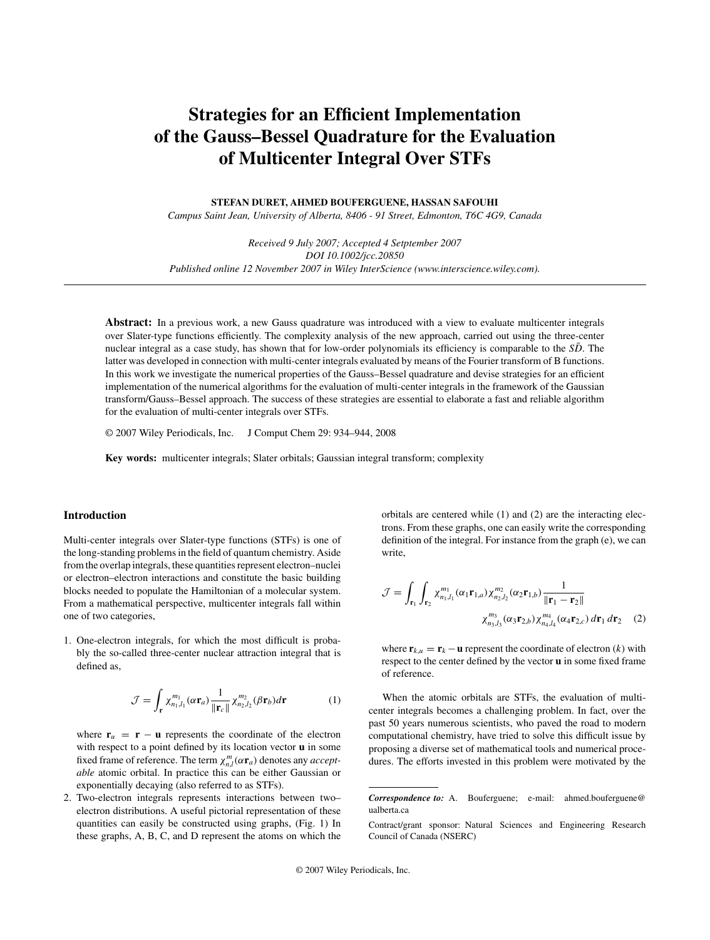# **Strategies for an Efficient Implementation of the Gauss–Bessel Quadrature for the Evaluation of Multicenter Integral Over STFs**

**STEFAN DURET, AHMED BOUFERGUENE, HASSAN SAFOUHI**

*Campus Saint Jean, University of Alberta, 8406 - 91 Street, Edmonton, T6C 4G9, Canada*

*Received 9 July 2007; Accepted 4 Setptember 2007 DOI 10.1002/jcc.20850 Published online 12 November 2007 in Wiley InterScience (www.interscience.wiley.com).*

**Abstract:** In a previous work, a new Gauss quadrature was introduced with a view to evaluate multicenter integrals over Slater-type functions efficiently. The complexity analysis of the new approach, carried out using the three-center nuclear integral as a case study, has shown that for low-order polynomials its efficiency is comparable to the  $S\bar{D}$ . The latter was developed in connection with multi-center integrals evaluated by means of the Fourier transform of B functions. In this work we investigate the numerical properties of the Gauss–Bessel quadrature and devise strategies for an efficient implementation of the numerical algorithms for the evaluation of multi-center integrals in the framework of the Gaussian transform/Gauss–Bessel approach. The success of these strategies are essential to elaborate a fast and reliable algorithm for the evaluation of multi-center integrals over STFs.

© 2007 Wiley Periodicals, Inc. J Comput Chem 29: 934–944, 2008

**Key words:** multicenter integrals; Slater orbitals; Gaussian integral transform; complexity

# **Introduction**

Multi-center integrals over Slater-type functions (STFs) is one of the long-standing problems in the field of quantum chemistry. Aside from the overlap integrals, these quantities represent electron–nuclei or electron–electron interactions and constitute the basic building blocks needed to populate the Hamiltonian of a molecular system. From a mathematical perspective, multicenter integrals fall within one of two categories,

1. One-electron integrals, for which the most difficult is probably the so-called three-center nuclear attraction integral that is defined as,

$$
\mathcal{J} = \int_{\mathbf{r}} \chi_{n_1, l_1}^{m_1}(\alpha \mathbf{r}_a) \frac{1}{\|\mathbf{r}_c\|} \chi_{n_2, l_2}^{m_2}(\beta \mathbf{r}_b) d\mathbf{r}
$$
 (1)

where  $\mathbf{r}_u = \mathbf{r} - \mathbf{u}$  represents the coordinate of the electron with respect to a point defined by its location vector **u** in some fixed frame of reference. The term  $\chi_{n,l}^m(\alpha \mathbf{r}_a)$  denotes any *acceptable* atomic orbital. In practice this can be either Gaussian or exponentially decaying (also referred to as STFs).

2. Two-electron integrals represents interactions between two– electron distributions. A useful pictorial representation of these quantities can easily be constructed using graphs, (Fig. 1) In these graphs, A, B, C, and D represent the atoms on which the orbitals are centered while (1) and (2) are the interacting electrons. From these graphs, one can easily write the corresponding definition of the integral. For instance from the graph (e), we can write,

$$
\mathcal{J} = \int_{\mathbf{r}_1} \int_{\mathbf{r}_2} \chi_{n_1, l_1}^{m_1}(\alpha_1 \mathbf{r}_{1, a}) \chi_{n_2, l_2}^{m_2}(\alpha_2 \mathbf{r}_{1, b}) \frac{1}{\|\mathbf{r}_1 - \mathbf{r}_2\|} \chi_{n_3, l_3}^{m_3}(\alpha_3 \mathbf{r}_{2, b}) \chi_{n_4, l_4}^{m_4}(\alpha_4 \mathbf{r}_{2, c}) d\mathbf{r}_1 d\mathbf{r}_2
$$
 (2)

where  $\mathbf{r}_{k,u} = \mathbf{r}_k - \mathbf{u}$  represent the coordinate of electron (*k*) with respect to the center defined by the vector **u** in some fixed frame of reference.

When the atomic orbitals are STFs, the evaluation of multicenter integrals becomes a challenging problem. In fact, over the past 50 years numerous scientists, who paved the road to modern computational chemistry, have tried to solve this difficult issue by proposing a diverse set of mathematical tools and numerical procedures. The efforts invested in this problem were motivated by the

*Correspondence to:* A. Bouferguene; e-mail: ahmed.bouferguene@ ualberta.ca

Contract/grant sponsor: Natural Sciences and Engineering Research Council of Canada (NSERC)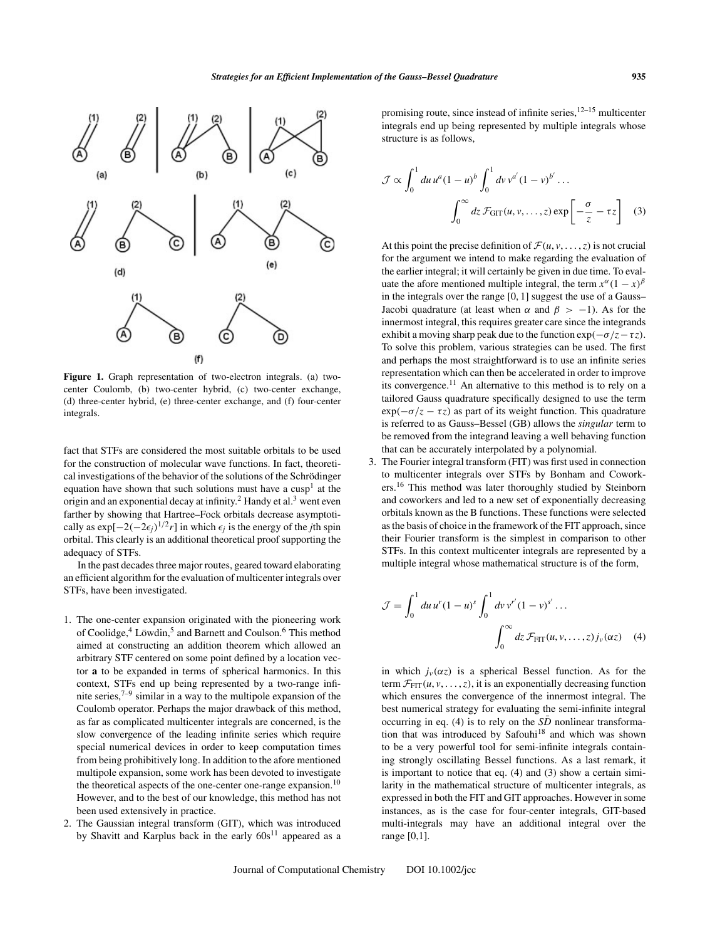

**Figure 1.** Graph representation of two-electron integrals. (a) twocenter Coulomb, (b) two-center hybrid, (c) two-center exchange, (d) three-center hybrid, (e) three-center exchange, and (f) four-center integrals.

fact that STFs are considered the most suitable orbitals to be used for the construction of molecular wave functions. In fact, theoretical investigations of the behavior of the solutions of the Schrödinger equation have shown that such solutions must have a  $cusp<sup>1</sup>$  at the origin and an exponential decay at infinity.<sup>2</sup> Handy et al.<sup>3</sup> went even farther by showing that Hartree–Fock orbitals decrease asymptotically as exp[ $-2(-2\epsilon_j)^{1/2}r$ ] in which  $\epsilon_j$  is the energy of the *j*th spin orbital. This clearly is an additional theoretical proof supporting the adequacy of STFs.

In the past decades three major routes, geared toward elaborating an efficient algorithm for the evaluation of multicenter integrals over STFs, have been investigated.

- 1. The one-center expansion originated with the pioneering work of Coolidge, $4$  Löwdin, $5$  and Barnett and Coulson.<sup>6</sup> This method aimed at constructing an addition theorem which allowed an arbitrary STF centered on some point defined by a location vector **a** to be expanded in terms of spherical harmonics. In this context, STFs end up being represented by a two-range infinite series, $7-9$  similar in a way to the multipole expansion of the Coulomb operator. Perhaps the major drawback of this method, as far as complicated multicenter integrals are concerned, is the slow convergence of the leading infinite series which require special numerical devices in order to keep computation times from being prohibitively long. In addition to the afore mentioned multipole expansion, some work has been devoted to investigate the theoretical aspects of the one-center one-range expansion.<sup>10</sup> However, and to the best of our knowledge, this method has not been used extensively in practice.
- 2. The Gaussian integral transform (GIT), which was introduced by Shavitt and Karplus back in the early  $60s^{11}$  appeared as a

promising route, since instead of infinite series, $12-15$  multicenter integrals end up being represented by multiple integrals whose structure is as follows,

$$
\mathcal{J} \propto \int_0^1 du \, u^a (1-u)^b \int_0^1 dv \, v^{a'} (1-v)^{b'} \dots
$$

$$
\int_0^\infty dz \, \mathcal{F}_{\text{GIT}}(u, v, \dots, z) \exp\left[-\frac{\sigma}{z} - \tau z\right] \quad (3)
$$

At this point the precise definition of  $\mathcal{F}(u, v, \dots, z)$  is not crucial for the argument we intend to make regarding the evaluation of the earlier integral; it will certainly be given in due time. To evaluate the afore mentioned multiple integral, the term  $x^{\alpha}(1 - x)^{\beta}$ in the integrals over the range [0, 1] suggest the use of a Gauss– Jacobi quadrature (at least when  $\alpha$  and  $\beta > -1$ ). As for the innermost integral, this requires greater care since the integrands exhibit a moving sharp peak due to the function  $\exp(-\sigma/z-\tau z)$ . To solve this problem, various strategies can be used. The first and perhaps the most straightforward is to use an infinite series representation which can then be accelerated in order to improve its convergence.11 An alternative to this method is to rely on a tailored Gauss quadrature specifically designed to use the term  $\exp(-\sigma/z - \tau z)$  as part of its weight function. This quadrature is referred to as Gauss–Bessel (GB) allows the *singular* term to be removed from the integrand leaving a well behaving function that can be accurately interpolated by a polynomial.

3. The Fourier integral transform (FIT) was first used in connection to multicenter integrals over STFs by Bonham and Coworkers.<sup>16</sup> This method was later thoroughly studied by Steinborn and coworkers and led to a new set of exponentially decreasing orbitals known as the B functions. These functions were selected as the basis of choice in the framework of the FIT approach, since their Fourier transform is the simplest in comparison to other STFs. In this context multicenter integrals are represented by a multiple integral whose mathematical structure is of the form,

$$
\mathcal{J} = \int_0^1 du \, u^r (1 - u)^s \int_0^1 dv \, v^{r'} (1 - v)^{s'} \dots
$$

$$
\int_0^\infty dz \, \mathcal{F}_{\text{FIT}}(u, v, \dots, z) \, j_v(\alpha z) \tag{4}
$$

in which  $j_\nu(\alpha z)$  is a spherical Bessel function. As for the term  $\mathcal{F}_{\text{FIT}}(u, v, \dots, z)$ , it is an exponentially decreasing function which ensures the convergence of the innermost integral. The best numerical strategy for evaluating the semi-infinite integral occurring in eq. (4) is to rely on the  $S\bar{D}$  nonlinear transformation that was introduced by Safouhi $18$  and which was shown to be a very powerful tool for semi-infinite integrals containing strongly oscillating Bessel functions. As a last remark, it is important to notice that eq. (4) and (3) show a certain similarity in the mathematical structure of multicenter integrals, as expressed in both the FIT and GIT approaches. However in some instances, as is the case for four-center integrals, GIT-based multi-integrals may have an additional integral over the range [0,1].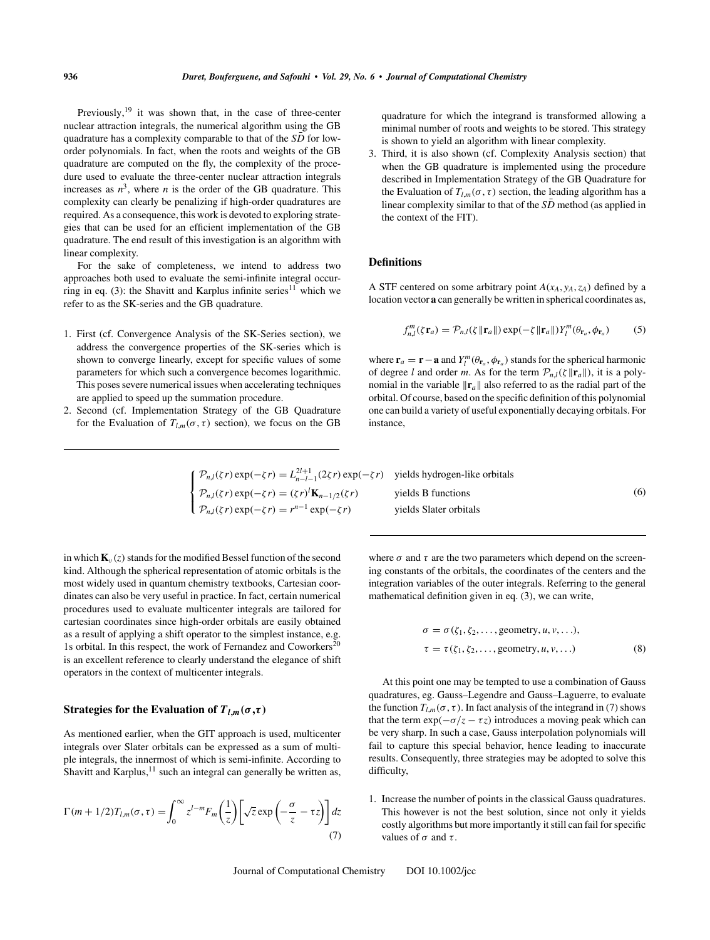Previously, $19$  it was shown that, in the case of three-center nuclear attraction integrals, the numerical algorithm using the GB quadrature has a complexity comparable to that of the  $S\bar{D}$  for loworder polynomials. In fact, when the roots and weights of the GB quadrature are computed on the fly, the complexity of the procedure used to evaluate the three-center nuclear attraction integrals increases as  $n^3$ , where *n* is the order of the GB quadrature. This complexity can clearly be penalizing if high-order quadratures are required. As a consequence, this work is devoted to exploring strategies that can be used for an efficient implementation of the GB quadrature. The end result of this investigation is an algorithm with linear complexity.

For the sake of completeness, we intend to address two approaches both used to evaluate the semi-infinite integral occurring in eq. (3): the Shavitt and Karplus infinite series<sup>11</sup> which we refer to as the SK-series and the GB quadrature.

- 1. First (cf. Convergence Analysis of the SK-Series section), we address the convergence properties of the SK-series which is shown to converge linearly, except for specific values of some parameters for which such a convergence becomes logarithmic. This poses severe numerical issues when accelerating techniques are applied to speed up the summation procedure.
- 2. Second (cf. Implementation Strategy of the GB Quadrature for the Evaluation of  $T_{l,m}(\sigma, \tau)$  section), we focus on the GB

quadrature for which the integrand is transformed allowing a minimal number of roots and weights to be stored. This strategy is shown to yield an algorithm with linear complexity.

3. Third, it is also shown (cf. Complexity Analysis section) that when the GB quadrature is implemented using the procedure described in Implementation Strategy of the GB Quadrature for the Evaluation of  $T_{lm}(\sigma, \tau)$  section, the leading algorithm has a linear complexity similar to that of the  $S\bar{D}$  method (as applied in the context of the FIT).

## **Definitions**

A STF centered on some arbitrary point  $A(x_A, y_A, z_A)$  defined by a location vector **a** can generally be written in spherical coordinates as,

$$
f_{n,l}^m(\zeta \mathbf{r}_a) = \mathcal{P}_{n,l}(\zeta \|\mathbf{r}_a\|) \exp(-\zeta \|\mathbf{r}_a\|) Y_l^m(\theta_{\mathbf{r}_a}, \phi_{\mathbf{r}_a}) \tag{5}
$$

where  $\mathbf{r}_a = \mathbf{r} - \mathbf{a}$  and  $Y_l^m(\theta_{\mathbf{r}_a}, \phi_{\mathbf{r}_a})$  stands for the spherical harmonic of degree *l* and order *m*. As for the term  $\mathcal{P}_{n,l}(\zeta || \mathbf{r}_a||)$ , it is a polynomial in the variable  $\|\mathbf{r}_a\|$  also referred to as the radial part of the orbital. Of course, based on the specific definition of this polynomial one can build a variety of useful exponentially decaying orbitals. For instance,

$$
\begin{cases}\n\mathcal{P}_{n,l}(\zeta r) \exp(-\zeta r) = L_{n-l-1}^{2l+1}(2\zeta r) \exp(-\zeta r) & \text{yields hydrogen-like orbitals} \\
\mathcal{P}_{n,l}(\zeta r) \exp(-\zeta r) = (\zeta r)' \mathbf{K}_{n-1/2}(\zeta r) & \text{yields B functions} \\
\mathcal{P}_{n,l}(\zeta r) \exp(-\zeta r) = r^{n-1} \exp(-\zeta r) & \text{yields Slater orbitals}\n\end{cases}
$$
\n(6)

in which  $\mathbf{K}_{\nu}(z)$  stands for the modified Bessel function of the second kind. Although the spherical representation of atomic orbitals is the most widely used in quantum chemistry textbooks, Cartesian coordinates can also be very useful in practice. In fact, certain numerical procedures used to evaluate multicenter integrals are tailored for cartesian coordinates since high-order orbitals are easily obtained as a result of applying a shift operator to the simplest instance, e.g. 1s orbital. In this respect, the work of Fernandez and Coworkers<sup>20</sup> is an excellent reference to clearly understand the elegance of shift operators in the context of multicenter integrals.

# **Strategies for the Evaluation of**  $T_{l,m}(\sigma,\tau)$

As mentioned earlier, when the GIT approach is used, multicenter integrals over Slater orbitals can be expressed as a sum of multiple integrals, the innermost of which is semi-infinite. According to Shavitt and Karplus, $11$  such an integral can generally be written as,

$$
\Gamma(m+1/2)T_{l,m}(\sigma,\tau) = \int_0^\infty z^{l-m} F_m\left(\frac{1}{z}\right) \left[\sqrt{z} \exp\left(-\frac{\sigma}{z} - \tau z\right)\right] dz
$$
\n(7)

where  $\sigma$  and  $\tau$  are the two parameters which depend on the screening constants of the orbitals, the coordinates of the centers and the integration variables of the outer integrals. Referring to the general mathematical definition given in eq. (3), we can write,

$$
\sigma = \sigma(\zeta_1, \zeta_2, \dots, \text{geometry}, u, v, \dots),
$$
  
\n
$$
\tau = \tau(\zeta_1, \zeta_2, \dots, \text{geometry}, u, v, \dots)
$$
 (8)

At this point one may be tempted to use a combination of Gauss quadratures, eg. Gauss–Legendre and Gauss–Laguerre, to evaluate the function  $T_{l,m}(\sigma, \tau)$ . In fact analysis of the integrand in (7) shows that the term  $\exp(-\sigma/z - \tau z)$  introduces a moving peak which can be very sharp. In such a case, Gauss interpolation polynomials will fail to capture this special behavior, hence leading to inaccurate results. Consequently, three strategies may be adopted to solve this difficulty,

1. Increase the number of points in the classical Gauss quadratures. This however is not the best solution, since not only it yields costly algorithms but more importantly it still can fail for specific values of  $\sigma$  and  $\tau$ .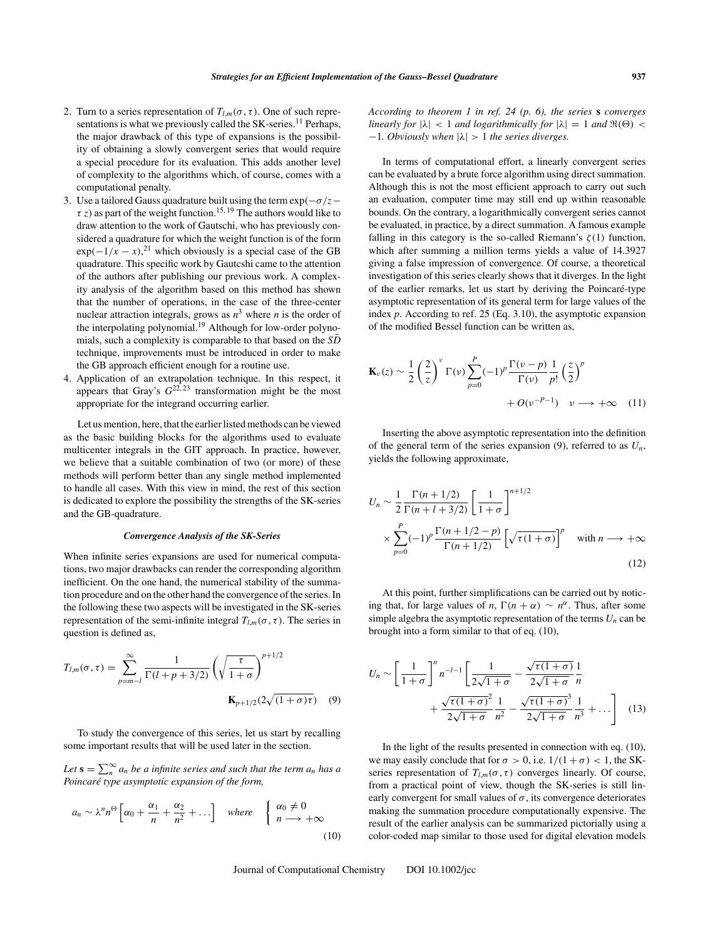- 2. Turn to a series representation of  $T_{l,m}(\sigma, \tau)$ . One of such representations is what we previously called the SK-series.<sup>11</sup> Perhaps, the major drawback of this type of expansions is the possibility of obtaining a slowly convergent series that would require a special procedure for its evaluation. This adds another level of complexity to the algorithms which, of course, comes with a computational penalty.
- 3. Use a tailored Gauss quadrature built using the term  $\exp(-\sigma/z \tau$  *z*) as part of the weight function.<sup>15, 19</sup> The authors would like to draw attention to the work of Gautschi, who has previously considered a quadrature for which the weight function is of the form  $\exp(-1/x - x)^{21}$  which obviously is a special case of the GB quadrature. This specific work by Gautcshi came to the attention of the authors after publishing our previous work. A complexity analysis of the algorithm based on this method has shown that the number of operations, in the case of the three-center nuclear attraction integrals, grows as  $n<sup>3</sup>$  where *n* is the order of the interpolating polynomial.<sup>19</sup> Although for low-order polynomials, such a complexity is comparable to that based on the  $S\bar{D}$ technique, improvements must be introduced in order to make the GB approach efficient enough for a routine use.
- 4. Application of an extrapolation technique. In this respect, it appears that Gray's  $G^{22,23}$  transformation might be the most appropriate for the integrand occurring earlier.

Let us mention, here, that the earlier listed methods can be viewed as the basic building blocks for the algorithms used to evaluate multicenter integrals in the GIT approach. In practice, however, we believe that a suitable combination of two (or more) of these methods will perform better than any single method implemented to handle all cases. With this view in mind, the rest of this section is dedicated to explore the possibility the strengths of the SK-series and the GB-quadrature.

#### *Convergence Analysis of the SK-Series*

When infinite series expansions are used for numerical computations, two major drawbacks can render the corresponding algorithm inefficient. On the one hand, the numerical stability of the summation procedure and on the other hand the convergence of the series. In the following these two aspects will be investigated in the SK-series representation of the semi-infinite integral  $T_{l,m}(\sigma, \tau)$ . The series in question is defined as,

$$
T_{l,m}(\sigma,\tau) = \sum_{p=m-l}^{\infty} \frac{1}{\Gamma(l+p+3/2)} \left(\sqrt{\frac{\tau}{1+\sigma}}\right)^{p+1/2}
$$

$$
\mathbf{K}_{p+1/2}(2\sqrt{(1+\sigma)\tau}) \quad (9)
$$

To study the convergence of this series, let us start by recalling some important results that will be used later in the section.

Let  $\mathbf{s} = \sum_{n}^{\infty} a_n$  be a infinite series and such that the term  $a_n$  has a *Poincaré type asymptotic expansion of the form,*

$$
a_n \sim \lambda^n n^{\Theta} \left[ \alpha_0 + \frac{\alpha_1}{n} + \frac{\alpha_2}{n^2} + \dots \right] \quad \text{where} \quad \begin{cases} \alpha_0 \neq 0 \\ n \longrightarrow +\infty \end{cases}
$$
 (10)

*According to theorem 1 in ref. 24 (p. 6), the series* **s** *converges linearly for*  $|\lambda| < 1$  *and logarithmically for*  $|\lambda| = 1$  *and*  $\Re(\Theta) <$ −1*. Obviously when* |λ| > 1 *the series diverges.*

In terms of computational effort, a linearly convergent series can be evaluated by a brute force algorithm using direct summation. Although this is not the most efficient approach to carry out such an evaluation, computer time may still end up within reasonable bounds. On the contrary, a logarithmically convergent series cannot be evaluated, in practice, by a direct summation. A famous example falling in this category is the so-called Riemann's  $\zeta(1)$  function, which after summing a million terms yields a value of 14.3927 giving a false impression of convergence. Of course, a theoretical investigation of this series clearly shows that it diverges. In the light of the earlier remarks, let us start by deriving the Poincaré-type asymptotic representation of its general term for large values of the index *p*. According to ref. 25 (Eq. 3.10), the asymptotic expansion of the modified Bessel function can be written as,

$$
\mathbf{K}_{\nu}(z) \sim \frac{1}{2} \left(\frac{2}{z}\right)^{\nu} \Gamma(\nu) \sum_{p=0}^{P} (-1)^{p} \frac{\Gamma(\nu - p)}{\Gamma(\nu)} \frac{1}{p!} \left(\frac{z}{2}\right)^{p} + O(\nu^{-P-1}) \quad \nu \longrightarrow +\infty \quad (11)
$$

Inserting the above asymptotic representation into the definition of the general term of the series expansion  $(9)$ , referred to as  $U_n$ , yields the following approximate,

$$
U_n \sim \frac{1}{2} \frac{\Gamma(n+1/2)}{\Gamma(n+l+3/2)} \left[ \frac{1}{1+\sigma} \right]^{n+1/2}
$$
  
 
$$
\times \sum_{p=0}^P (-1)^p \frac{\Gamma(n+1/2-p)}{\Gamma(n+1/2)} \left[ \sqrt{\tau(1+\sigma)} \right]^p \quad \text{with } n \longrightarrow +\infty
$$
  
(12)

At this point, further simplifications can be carried out by noticing that, for large values of *n*,  $\Gamma(n + \alpha) \sim n^{\alpha}$ . Thus, after some simple algebra the asymptotic representation of the terms  $U_n$  can be brought into a form similar to that of eq. (10),

$$
U_n \sim \left[\frac{1}{1+\sigma}\right]^n n^{-l-1} \left[\frac{1}{2\sqrt{1+\sigma}} - \frac{\sqrt{\tau(1+\sigma)}}{2\sqrt{1+\sigma}}\frac{1}{n} + \frac{\sqrt{\tau(1+\sigma)}^2}{2\sqrt{1+\sigma}}\frac{1}{n^2} - \frac{\sqrt{\tau(1+\sigma)}^3}{2\sqrt{1+\sigma}}\frac{1}{n^3} + \dots\right]
$$
(13)

In the light of the results presented in connection with eq. (10), we may easily conclude that for  $\sigma > 0$ , i.e.  $1/(1 + \sigma) < 1$ , the SKseries representation of  $T_{l,m}(\sigma, \tau)$  converges linearly. Of course, from a practical point of view, though the SK-series is still linearly convergent for small values of  $\sigma$ , its convergence deteriorates making the summation procedure computationally expensive. The result of the earlier analysis can be summarized pictorially using a color-coded map similar to those used for digital elevation models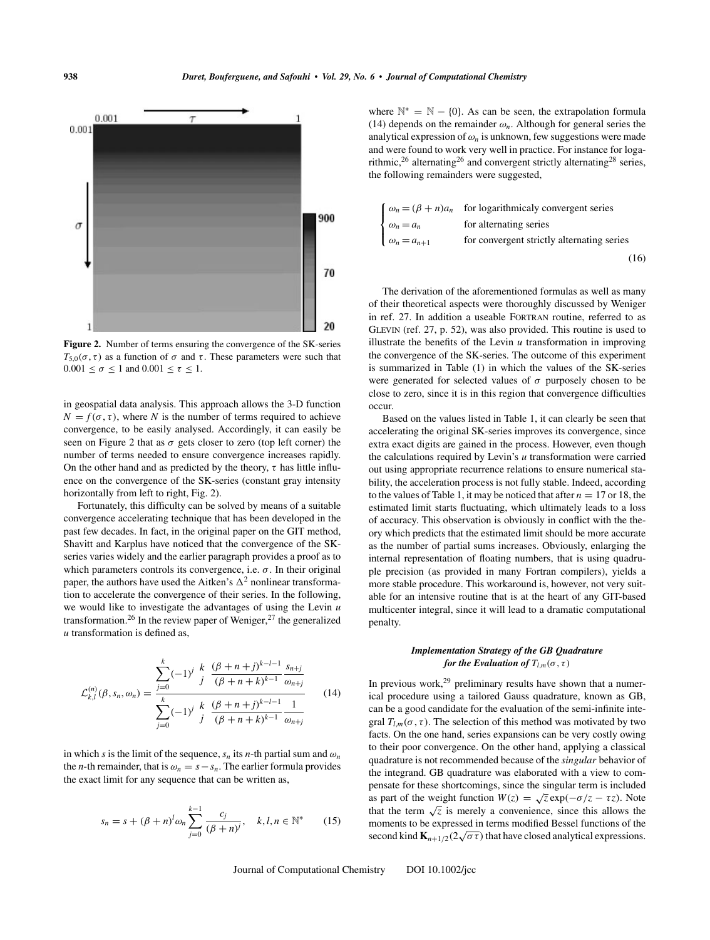

**Figure 2.** Number of terms ensuring the convergence of the SK-series  $T_{5,0}(\sigma, \tau)$  as a function of  $\sigma$  and  $\tau$ . These parameters were such that  $0.001 \leq \sigma \leq 1$  and  $0.001 \leq \tau \leq 1$ .

in geospatial data analysis. This approach allows the 3-D function  $N = f(\sigma, \tau)$ , where *N* is the number of terms required to achieve convergence, to be easily analysed. Accordingly, it can easily be seen on Figure 2 that as  $\sigma$  gets closer to zero (top left corner) the number of terms needed to ensure convergence increases rapidly. On the other hand and as predicted by the theory,  $\tau$  has little influence on the convergence of the SK-series (constant gray intensity horizontally from left to right, Fig. 2).

Fortunately, this difficulty can be solved by means of a suitable convergence accelerating technique that has been developed in the past few decades. In fact, in the original paper on the GIT method, Shavitt and Karplus have noticed that the convergence of the SKseries varies widely and the earlier paragraph provides a proof as to which parameters controls its convergence, i.e.  $\sigma$ . In their original paper, the authors have used the Aitken's  $\Delta^2$  nonlinear transformation to accelerate the convergence of their series. In the following, we would like to investigate the advantages of using the Levin *u* transformation.<sup>26</sup> In the review paper of Weniger,<sup>27</sup> the generalized *u* transformation is defined as,

$$
\mathcal{L}_{k,l}^{(n)}(\beta, s_n, \omega_n) = \frac{\sum_{j=0}^k (-1)^j \frac{k}{j} \frac{(\beta + n + j)^{k-l-1}}{(\beta + n + k)^{k-1}} \frac{s_{n+j}}{\omega_{n+j}}}{\sum_{j=0}^k (-1)^j \frac{k}{j} \frac{(\beta + n + j)^{k-l-1}}{(\beta + n + k)^{k-1}} \frac{1}{\omega_{n+j}}} \tag{14}
$$

in which *s* is the limit of the sequence,  $s_n$  its *n*-th partial sum and  $\omega_n$ the *n*-th remainder, that is  $\omega_n = s - s_n$ . The earlier formula provides the exact limit for any sequence that can be written as,

$$
s_n = s + (\beta + n)^l \omega_n \sum_{j=0}^{k-1} \frac{c_j}{(\beta + n)^j}, \quad k, l, n \in \mathbb{N}^* \tag{15}
$$

where  $\mathbb{N}^* = \mathbb{N} - \{0\}$ . As can be seen, the extrapolation formula (14) depends on the remainder  $\omega_n$ . Although for general series the analytical expression of  $\omega_n$  is unknown, few suggestions were made and were found to work very well in practice. For instance for logarithmic,<sup>26</sup> alternating<sup>26</sup> and convergent strictly alternating<sup>28</sup> series, the following remainders were suggested,

|                      | $\int \omega_n = (\beta + n)a_n$ for logarithmicaly convergent series |
|----------------------|-----------------------------------------------------------------------|
| $\omega_n = a_n$     | for alternating series                                                |
| $\omega_n = a_{n+1}$ | for convergent strictly alternating series                            |
|                      | (16)                                                                  |

The derivation of the aforementioned formulas as well as many of their theoretical aspects were thoroughly discussed by Weniger in ref. 27. In addition a useable Fortran routine, referred to as Glevin (ref. 27, p. 52), was also provided. This routine is used to illustrate the benefits of the Levin *u* transformation in improving the convergence of the SK-series. The outcome of this experiment is summarized in Table (1) in which the values of the SK-series were generated for selected values of  $\sigma$  purposely chosen to be close to zero, since it is in this region that convergence difficulties occur.

Based on the values listed in Table 1, it can clearly be seen that accelerating the original SK-series improves its convergence, since extra exact digits are gained in the process. However, even though the calculations required by Levin's *u* transformation were carried out using appropriate recurrence relations to ensure numerical stability, the acceleration process is not fully stable. Indeed, according to the values of Table 1, it may be noticed that after  $n = 17$  or 18, the estimated limit starts fluctuating, which ultimately leads to a loss of accuracy. This observation is obviously in conflict with the theory which predicts that the estimated limit should be more accurate as the number of partial sums increases. Obviously, enlarging the internal representation of floating numbers, that is using quadruple precision (as provided in many Fortran compilers), yields a more stable procedure. This workaround is, however, not very suitable for an intensive routine that is at the heart of any GIT-based multicenter integral, since it will lead to a dramatic computational penalty.

#### *Implementation Strategy of the GB Quadrature for the Evaluation of*  $T_{lm}(\sigma, \tau)$

In previous work, $^{29}$  preliminary results have shown that a numerical procedure using a tailored Gauss quadrature, known as GB, can be a good candidate for the evaluation of the semi-infinite integral  $T_{l,m}(\sigma, \tau)$ . The selection of this method was motivated by two facts. On the one hand, series expansions can be very costly owing to their poor convergence. On the other hand, applying a classical quadrature is not recommended because of the *singular* behavior of the integrand. GB quadrature was elaborated with a view to compensate for these shortcomings, since the singular term is included as part of the weight function  $W(z) = \sqrt{z} \exp(-\sigma/z - \tau z)$ . Note that the term  $\sqrt{z}$  is merely a convenience, since this allows the moments to be expressed in terms modified Bessel functions of the second kind  $\mathbf{K}_{n+1/2}(2\sqrt{\sigma\tau})$  that have closed analytical expressions.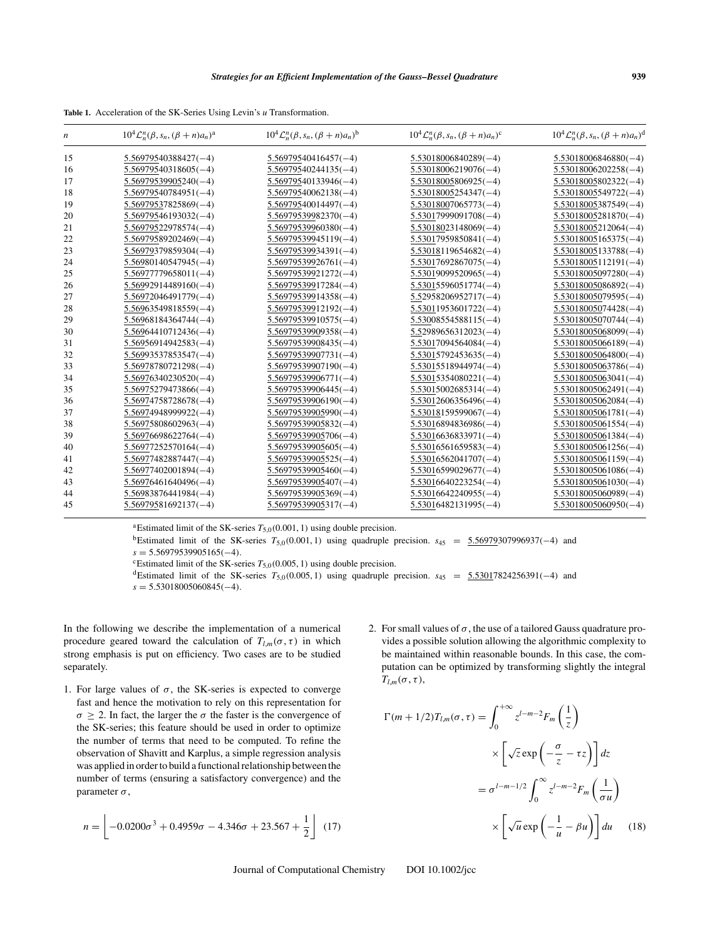**Table 1.** Acceleration of the SK-Series Using Levin's *u* Transformation.

| n  | $10^4 \mathcal{L}_n^n(\beta, s_n, (\beta+n)a_n)^a$ | $10^4 \mathcal{L}_n^n(\beta, s_n, (\beta+n)a_n)^b$ | $10^4 \mathcal{L}_n^n(\beta, s_n, (\beta+n)a_n)^c$ | $10^4 \mathcal{L}_n^n(\beta, s_n, (\beta+n)a_n)^d$ |
|----|----------------------------------------------------|----------------------------------------------------|----------------------------------------------------|----------------------------------------------------|
| 15 | $5.56979540388427(-4)$                             | $5.56979540416457(-4)$                             | $5.53018006840289(-4)$                             | $5.53018006846880(-4)$                             |
| 16 | $5.56979540318605(-4)$                             | $5.56979540244135(-4)$                             | $5.53018006219076(-4)$                             | $5.53018006202258(-4)$                             |
| 17 | $5.56979539905240(-4)$                             | $5.56979540133946(-4)$                             | $5.53018005806925(-4)$                             | $5.53018005802322(-4)$                             |
| 18 | $5.56979540784951(-4)$                             | $5.56979540062138(-4)$                             | $5.53018005254347(-4)$                             | $5.53018005549722(-4)$                             |
| 19 | $5.56979537825869(-4)$                             | $5.56979540014497(-4)$                             | $5.53018007065773(-4)$                             | 5.53018005387549(-4)                               |
| 20 | $5.56979546193032(-4)$                             | $5.56979539982370(-4)$                             | $5.53017999091708(-4)$                             | $5.53018005281870(-4)$                             |
| 21 | $5.56979522978574(-4)$                             | $5.56979539960380(-4)$                             | $5.53018023148069(-4)$                             | $5.53018005212064(-4)$                             |
| 22 | $5.56979589202469(-4)$                             | $5.56979539945119(-4)$                             | $5.53017959850841(-4)$                             | $5.53018005165375(-4)$                             |
| 23 | $5.56979379859304(-4)$                             | $5.56979539934391(-4)$                             | $5.53018119654682(-4)$                             | $5.53018005133788(-4)$                             |
| 24 | $5.56980140547945(-4)$                             | $5.56979539926761(-4)$                             | $5.53017692867075(-4)$                             | 5.53018005112191(-4)                               |
| 25 | $5.56977779658011(-4)$                             | $5.56979539921272(-4)$                             | $5.53019099520965(-4)$                             | $5.53018005097280(-4)$                             |
| 26 | $5.56992914489160(-4)$                             | $5.56979539917284(-4)$                             | $5.53015596051774(-4)$                             | $5.53018005086892(-4)$                             |
| 27 | $5.56972046491779(-4)$                             | $5.56979539914358(-4)$                             | $5.52958206952717(-4)$                             | 5.53018005079595(-4)                               |
| 28 | $5.56963549818559(-4)$                             | $5.56979539912192(-4)$                             | $5.53011953601722(-4)$                             | $5.53018005074428(-4)$                             |
| 29 | $5.56968184364744(-4)$                             | $5.56979539910575(-4)$                             | $5.53008554588115(-4)$                             | 5.53018005070744(-4)                               |
| 30 | $5.56964410712436(-4)$                             | $5.56979539909358(-4)$                             | $5.52989656312023(-4)$                             | $5.53018005068099(-4)$                             |
| 31 | $5.56956914942583(-4)$                             | $5.56979539908435(-4)$                             | $5.53017094564084(-4)$                             | $5.53018005066189(-4)$                             |
| 32 | $5.56993537853547(-4)$                             | $5.56979539907731(-4)$                             | $5.53015792453635(-4)$                             | $5.53018005064800(-4)$                             |
| 33 | $5.56978780721298(-4)$                             | $5.56979539907190(-4)$                             | $5.53015518944974(-4)$                             | $5.53018005063786(-4)$                             |
| 34 | $5.56976340230520(-4)$                             | $5.56979539906771(-4)$                             | $5.53015354080221(-4)$                             | $5.53018005063041(-4)$                             |
| 35 | $5.56975279473866(-4)$                             | $5.56979539906445(-4)$                             | $5.53015002685314(-4)$                             | $5.53018005062491(-4)$                             |
| 36 | $5.56974758728678(-4)$                             | $5.56979539906190(-4)$                             | $5.53012606356496(-4)$                             | $5.53018005062084(-4)$                             |
| 37 | $5.56974948999922(-4)$                             | $5.56979539905990(-4)$                             | $5.53018159599067(-4)$                             | $5.53018005061781(-4)$                             |
| 38 | $5.56975808602963(-4)$                             | $5.56979539905832(-4)$                             | $5.53016894836986(-4)$                             | 5.53018005061554(-4)                               |
| 39 | $5.56976698622764(-4)$                             | $5.56979539905706(-4)$                             | $5.53016636833971(-4)$                             | $5.53018005061384(-4)$                             |
| 40 | $5.56977252570164(-4)$                             | $5.56979539905605(-4)$                             | $5.53016561659583(-4)$                             | $5.53018005061256(-4)$                             |
| 41 | $5.56977482887447(-4)$                             | $5.56979539905525(-4)$                             | $5.53016562041707(-4)$                             | $5.53018005061159(-4)$                             |
| 42 | $5.56977402001894(-4)$                             | $5.56979539905460(-4)$                             | $5.53016599029677(-4)$                             | $5.53018005061086(-4)$                             |
| 43 | $5.56976461640496(-4)$                             | $5.56979539905407(-4)$                             | $5.53016640223254(-4)$                             | $5.53018005061030(-4)$                             |
| 44 | $5.56983876441984(-4)$                             | $5.56979539905369(-4)$                             | $5.53016642240955(-4)$                             | 5.53018005060989(-4)                               |
| 45 | $5.56979581692137(-4)$                             | $5.56979539905317(-4)$                             | $5.53016482131995(-4)$                             | $5.53018005060950(-4)$                             |

<sup>a</sup>Estimated limit of the SK-series  $T_{5,0}(0.001, 1)$  using double precision.

<sup>b</sup>Estimated limit of the SK-series *T*<sub>5,0</sub>(0.001, 1) using quadruple precision. *s*<sub>45</sub> = <u>5.56979</u>307996937(−4) and *s* = 5.56979539905165(−4).

<sup>c</sup>Estimated limit of the SK-series  $T_{5,0}(0.005, 1)$  using double precision.<br><sup>d</sup>Estimated limit of the SK-series  $T_{5,0}(0.005, 1)$  using quadruple precision.  $s_{45} = 5.53017824256391(-4)$  and *s* = 5.53018005060845(−4).

In the following we describe the implementation of a numerical procedure geared toward the calculation of  $T_{l,m}(\sigma, \tau)$  in which strong emphasis is put on efficiency. Two cases are to be studied separately.

1. For large values of  $\sigma$ , the SK-series is expected to converge fast and hence the motivation to rely on this representation for  $\sigma \geq 2$ . In fact, the larger the  $\sigma$  the faster is the convergence of the SK-series; this feature should be used in order to optimize the number of terms that need to be computed. To refine the observation of Shavitt and Karplus, a simple regression analysis was applied in order to build a functional relationship between the number of terms (ensuring a satisfactory convergence) and the parameter  $\sigma$ ,

$$
n = \left[ -0.0200\sigma^3 + 0.4959\sigma - 4.346\sigma + 23.567 + \frac{1}{2} \right] (17)
$$

2. For small values of  $\sigma$ , the use of a tailored Gauss quadrature provides a possible solution allowing the algorithmic complexity to be maintained within reasonable bounds. In this case, the computation can be optimized by transforming slightly the integral  $T_{l,m}(\sigma,\tau),$ 

$$
\Gamma(m+1/2)T_{l,m}(\sigma,\tau) = \int_0^{+\infty} z^{l-m-2} F_m\left(\frac{1}{z}\right)
$$

$$
\times \left[\sqrt{z} \exp\left(-\frac{\sigma}{z} - \tau z\right)\right] dz
$$

$$
= \sigma^{l-m-1/2} \int_0^{\infty} z^{l-m-2} F_m\left(\frac{1}{\sigma u}\right)
$$

$$
\times \left[\sqrt{u} \exp\left(-\frac{1}{u} - \beta u\right)\right] du \quad (18)
$$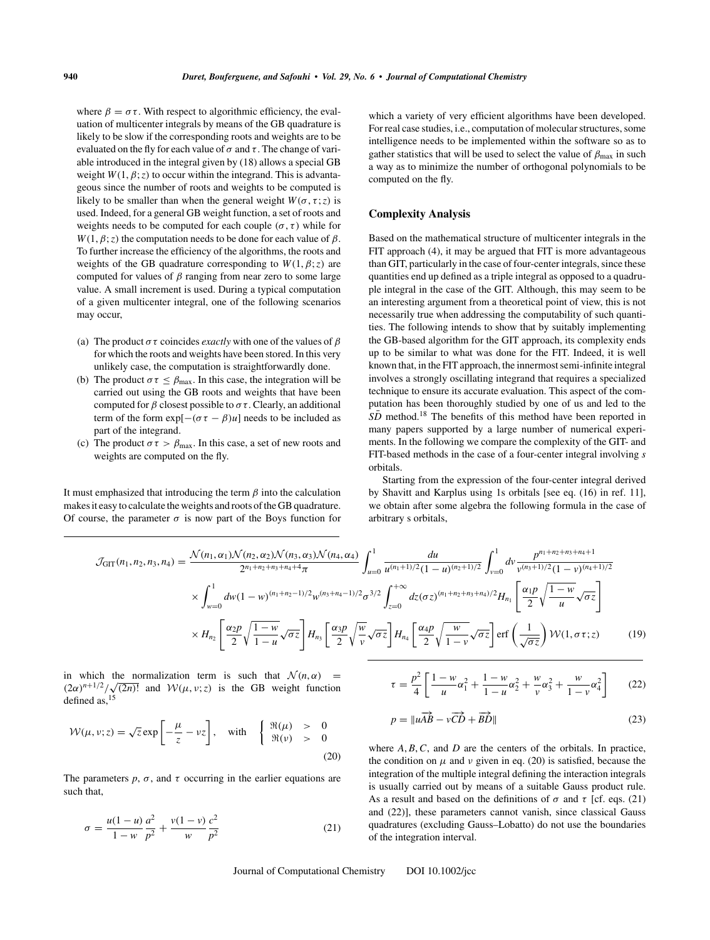where  $\beta = \sigma \tau$ . With respect to algorithmic efficiency, the evaluation of multicenter integrals by means of the GB quadrature is likely to be slow if the corresponding roots and weights are to be evaluated on the fly for each value of  $\sigma$  and  $\tau$ . The change of variable introduced in the integral given by (18) allows a special GB weight  $W(1, \beta; z)$  to occur within the integrand. This is advantageous since the number of roots and weights to be computed is likely to be smaller than when the general weight  $W(\sigma, \tau; z)$  is used. Indeed, for a general GB weight function, a set of roots and weights needs to be computed for each couple  $(\sigma, \tau)$  while for  $W(1, \beta; z)$  the computation needs to be done for each value of  $\beta$ . To further increase the efficiency of the algorithms, the roots and weights of the GB quadrature corresponding to  $W(1, \beta; z)$  are computed for values of  $\beta$  ranging from near zero to some large value. A small increment is used. During a typical computation of a given multicenter integral, one of the following scenarios may occur,

- (a) The product  $\sigma \tau$  coincides *exactly* with one of the values of  $\beta$ for which the roots and weights have been stored. In this very unlikely case, the computation is straightforwardly done.
- (b) The product  $\sigma \tau \leq \beta_{\text{max}}$ . In this case, the integration will be carried out using the GB roots and weights that have been computed for  $\beta$  closest possible to  $\sigma \tau$ . Clearly, an additional term of the form  $exp[-(\sigma \tau - \beta)u]$  needs to be included as part of the integrand.
- (c) The product  $\sigma \tau > \beta_{\text{max}}$ . In this case, a set of new roots and weights are computed on the fly.

It must emphasized that introducing the term  $\beta$  into the calculation makes it easy to calculate the weights and roots of the GB quadrature. Of course, the parameter  $\sigma$  is now part of the Boys function for which a variety of very efficient algorithms have been developed. For real case studies, i.e., computation of molecular structures, some intelligence needs to be implemented within the software so as to gather statistics that will be used to select the value of  $\beta_{\text{max}}$  in such a way as to minimize the number of orthogonal polynomials to be computed on the fly.

# **Complexity Analysis**

Based on the mathematical structure of multicenter integrals in the FIT approach (4), it may be argued that FIT is more advantageous than GIT, particularly in the case of four-center integrals, since these quantities end up defined as a triple integral as opposed to a quadruple integral in the case of the GIT. Although, this may seem to be an interesting argument from a theoretical point of view, this is not necessarily true when addressing the computability of such quantities. The following intends to show that by suitably implementing the GB-based algorithm for the GIT approach, its complexity ends up to be similar to what was done for the FIT. Indeed, it is well known that, in the FIT approach, the innermost semi-infinite integral involves a strongly oscillating integrand that requires a specialized technique to ensure its accurate evaluation. This aspect of the computation has been thoroughly studied by one of us and led to the  $S\bar{D}$  method.<sup>18</sup> The benefits of this method have been reported in many papers supported by a large number of numerical experiments. In the following we compare the complexity of the GIT- and FIT-based methods in the case of a four-center integral involving *s* orbitals.

Starting from the expression of the four-center integral derived by Shavitt and Karplus using 1s orbitals [see eq. (16) in ref. 11], we obtain after some algebra the following formula in the case of arbitrary s orbitals,

$$
\mathcal{J}_{\text{GIT}}(n_1, n_2, n_3, n_4) = \frac{\mathcal{N}(n_1, \alpha_1)\mathcal{N}(n_2, \alpha_2)\mathcal{N}(n_3, \alpha_3)\mathcal{N}(n_4, \alpha_4)}{2^{n_1 + n_2 + n_3 + n_4 + 4}\pi} \int_{u=0}^1 \frac{du}{u^{(n_1 + 1)/2} (1 - u)^{(n_2 + 1)/2}} \int_{v=0}^1 dv \frac{p^{n_1 + n_2 + n_3 + n_4 + 1}}{v^{(n_3 + 1)/2} (1 - v)^{(n_4 + 1)/2}}
$$
  
 
$$
\times \int_{w=0}^1 dw (1 - w)^{(n_1 + n_2 - 1)/2} w^{(n_3 + n_4 - 1)/2} \sigma^{3/2} \int_{z=0}^{+\infty} dz (\sigma z)^{(n_1 + n_2 + n_3 + n_4)/2} H_{n_1} \left[ \frac{\alpha_1 p}{2} \sqrt{\frac{1 - w}{u}} \sqrt{\sigma z} \right]
$$
  
 
$$
\times H_{n_2} \left[ \frac{\alpha_2 p}{2} \sqrt{\frac{1 - w}{1 - u}} \sqrt{\sigma z} \right] H_{n_3} \left[ \frac{\alpha_3 p}{2} \sqrt{\frac{w}{v}} \sqrt{\sigma z} \right] H_{n_4} \left[ \frac{\alpha_4 p}{2} \sqrt{\frac{w}{1 - v}} \sqrt{\sigma z} \right] \text{erf} \left( \frac{1}{\sqrt{\sigma z}} \right) \mathcal{W}(1, \sigma \tau; z)
$$
(19)

in which the normalization term is such that  $\mathcal{N}(n, \alpha)$  =  $(2\alpha)^{n+1/2}/\sqrt{(2n)!}$  and  $W(\mu, \nu; z)$  is the GB weight function defined as,15

$$
\mathcal{W}(\mu, \nu; z) = \sqrt{z} \exp\left[-\frac{\mu}{z} - \nu z\right], \quad \text{with} \quad \begin{cases} \Re(\mu) > 0\\ \Re(\nu) > 0 \end{cases} \tag{20}
$$

The parameters  $p, \sigma$ , and  $\tau$  occurring in the earlier equations are such that,

$$
\sigma = \frac{u(1-u)}{1-w} \frac{a^2}{p^2} + \frac{v(1-v)}{w} \frac{c^2}{p^2}
$$
 (21)

$$
\tau = \frac{p^2}{4} \left[ \frac{1 - w}{u} \alpha_1^2 + \frac{1 - w}{1 - u} \alpha_2^2 + \frac{w}{v} \alpha_3^2 + \frac{w}{1 - v} \alpha_4^2 \right] \tag{22}
$$

$$
p = \|u\overrightarrow{AB} - v\overrightarrow{CD} + \overrightarrow{BD}\|
$$
 (23)

where  $A, B, C$ , and  $D$  are the centers of the orbitals. In practice, the condition on  $\mu$  and  $\nu$  given in eq. (20) is satisfied, because the integration of the multiple integral defining the interaction integrals is usually carried out by means of a suitable Gauss product rule. As a result and based on the definitions of  $\sigma$  and  $\tau$  [cf. eqs. (21) and (22)], these parameters cannot vanish, since classical Gauss quadratures (excluding Gauss–Lobatto) do not use the boundaries of the integration interval.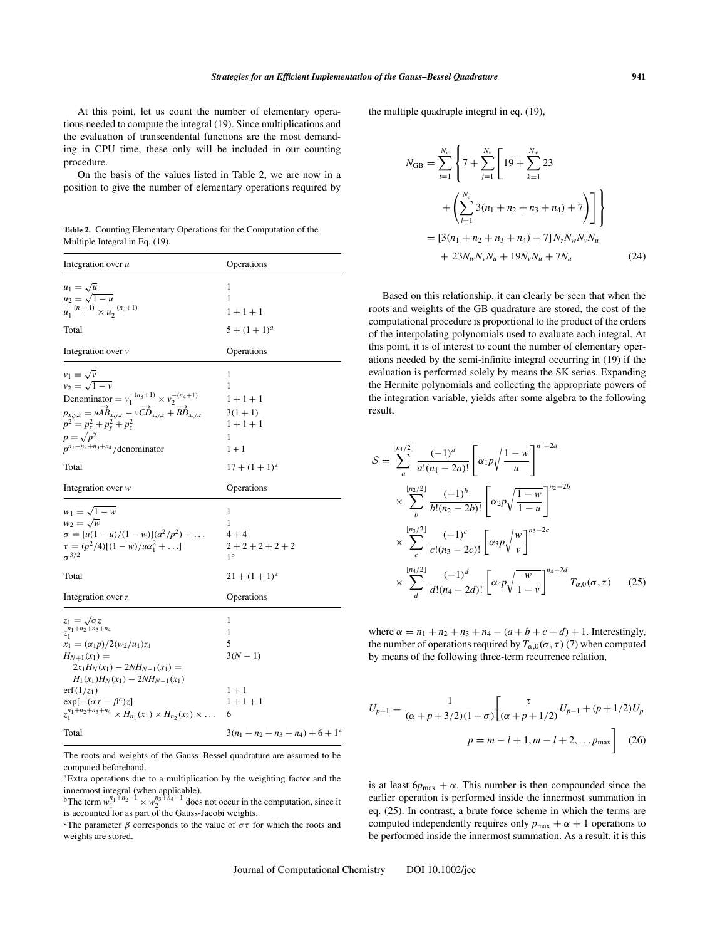At this point, let us count the number of elementary operations needed to compute the integral (19). Since multiplications and the evaluation of transcendental functions are the most demanding in CPU time, these only will be included in our counting procedure.

On the basis of the values listed in Table 2, we are now in a position to give the number of elementary operations required by

**Table 2.** Counting Elementary Operations for the Computation of the Multiple Integral in Eq. (19).

| Integration over u                                                                                                                                                                                                                                                                                                                 | Operations                                                               |  |
|------------------------------------------------------------------------------------------------------------------------------------------------------------------------------------------------------------------------------------------------------------------------------------------------------------------------------------|--------------------------------------------------------------------------|--|
| $u_1 = \sqrt{u}$<br>$u_2 = \sqrt{1 - u}$<br>$u_1^{-(n_1+1)} \times u_2^{-(n_2+1)}$<br>Total                                                                                                                                                                                                                                        | 1<br>1<br>$1 + 1 + 1$<br>$5 + (1 + 1)^a$                                 |  |
| Integration over $\nu$                                                                                                                                                                                                                                                                                                             | Operations                                                               |  |
| $v_1 = \sqrt{v}$<br>$v_2 = \sqrt{1 - v}$<br>Denominator = $v_1^{-(n_3+1)} \times v_2^{-(n_4+1)}$<br>$p_{x,y,z} = u\overrightarrow{AB}_{x,y,z} - v\overrightarrow{CD}_{x,y,z} + \overrightarrow{BD}_{x,y,z}$<br>$p^2 = p_x^2 + p_y^2 + p_z^2$<br>$p = \sqrt{p^2}$<br>$p^{n_1+n_2+n_3+n_4}/$ denominator                             | 1<br>1<br>$1 + 1 + 1$<br>$3(1 + 1)$<br>$1 + 1 + 1$<br>1<br>$1 + 1$       |  |
| Total                                                                                                                                                                                                                                                                                                                              | $17 + (1 + 1)^a$                                                         |  |
| Integration over $w$                                                                                                                                                                                                                                                                                                               | Operations                                                               |  |
| $w_1 = \sqrt{1 - w}$<br>$w_2 = \sqrt{w}$<br>$\sigma = [u(1-u)/(1-w)](a^2/p^2) + $<br>$\tau = (p^2/4)[(1-w)/u\alpha_1^2 + \ldots]$<br>$\sigma^{3/2}$<br>Total                                                                                                                                                                       | 1<br>1<br>$4 + 4$<br>$2+2+2+2+2$<br>1 <sup>b</sup><br>$21 + (1 + 1)^{a}$ |  |
| Integration over $z$                                                                                                                                                                                                                                                                                                               | Operations                                                               |  |
| $z_1=\sqrt{\sigma z}$<br>$z_1^{n_1+n_2+n_3+n_4}$<br>$x_1 = \frac{\alpha_1 p}{2(w_2/u_1)z_1}$<br>$H_{N+1}(x_1) =$<br>$2x_1H_N(x_1) - 2NH_{N-1}(x_1) =$<br>$H_1(x_1)H_N(x_1) - 2NH_{N-1}(x_1)$<br>$erf(1/z_1)$<br>$\exp[-(\sigma \tau - \beta^c)z]$<br>$z_1^{n_1+n_2+n_3+n_4} \times H_{n_1}(x_1) \times H_{n_2}(x_2) \times \ldots$ | 1<br>1<br>5<br>$3(N - 1)$<br>$1 + 1$<br>$1 + 1 + 1$<br>6                 |  |
| Total                                                                                                                                                                                                                                                                                                                              | $3(n_1 + n_2 + n_3 + n_4) + 6 + 1^a$                                     |  |

The roots and weights of the Gauss–Bessel quadrature are assumed to be computed beforehand.

aExtra operations due to a multiplication by the weighting factor and the

innermost integral (when applicable).<br><sup>b</sup>The term  $w_1^{n_1+n_2-1} \times w_2^{n_3+n_4-1}$  does not occur in the computation, since it is accounted for as part of the Gauss-Jacobi weights.

<sup>c</sup>The parameter  $\beta$  corresponds to the value of  $\sigma\tau$  for which the roots and weights are stored.

the multiple quadruple integral in eq. (19),

$$
N_{GB} = \sum_{i=1}^{N_u} \left\{ 7 + \sum_{j=1}^{N_v} \left[ 19 + \sum_{k=1}^{N_w} 23 + \left( \sum_{l=1}^{N_z} 3(n_1 + n_2 + n_3 + n_4) + 7 \right) \right] \right\}
$$
  
= 
$$
[3(n_1 + n_2 + n_3 + n_4) + 7] N_z N_w N_v N_u + 23 N_w N_v N_u + 19 N_v N_u + 7 N_u
$$
 (24)

Based on this relationship, it can clearly be seen that when the roots and weights of the GB quadrature are stored, the cost of the computational procedure is proportional to the product of the orders of the interpolating polynomials used to evaluate each integral. At this point, it is of interest to count the number of elementary operations needed by the semi-infinite integral occurring in (19) if the evaluation is performed solely by means the SK series. Expanding the Hermite polynomials and collecting the appropriate powers of the integration variable, yields after some algebra to the following result,

$$
S = \sum_{a}^{\lfloor n_1/2 \rfloor} \frac{(-1)^a}{a!(n_1 - 2a)!} \left[ \alpha_1 p \sqrt{\frac{1 - w}{u}} \right]^{n_1 - 2a}
$$
  
\n
$$
\times \sum_{b}^{\lfloor n_2/2 \rfloor} \frac{(-1)^b}{b!(n_2 - 2b)!} \left[ \alpha_2 p \sqrt{\frac{1 - w}{1 - u}} \right]^{n_2 - 2b}
$$
  
\n
$$
\times \sum_{c}^{\lfloor n_3/2 \rfloor} \frac{(-1)^c}{c!(n_3 - 2c)!} \left[ \alpha_3 p \sqrt{\frac{w}{v}} \right]^{n_3 - 2c}
$$
  
\n
$$
\times \sum_{d}^{\lfloor n_4/2 \rfloor} \frac{(-1)^d}{d!(n_4 - 2d)!} \left[ \alpha_4 p \sqrt{\frac{w}{1 - v}} \right]^{n_4 - 2d} T_{\alpha,0}(\sigma, \tau) \qquad (25)
$$

where  $\alpha = n_1 + n_2 + n_3 + n_4 - (a + b + c + d) + 1$ . Interestingly, the number of operations required by  $T_{\alpha,0}(\sigma,\tau)$  (7) when computed by means of the following three-term recurrence relation,

$$
U_{p+1} = \frac{1}{(\alpha + p + 3/2)(1 + \sigma)} \left[ \frac{\tau}{(\alpha + p + 1/2)} U_{p-1} + (p + 1/2) U_p \right]
$$

$$
p = m - l + 1, m - l + 2, \dots p_{\text{max}} \right] (26)
$$

is at least  $6p_{\text{max}} + \alpha$ . This number is then compounded since the earlier operation is performed inside the innermost summation in eq. (25). In contrast, a brute force scheme in which the terms are computed independently requires only  $p_{\text{max}} + \alpha + 1$  operations to be performed inside the innermost summation. As a result, it is this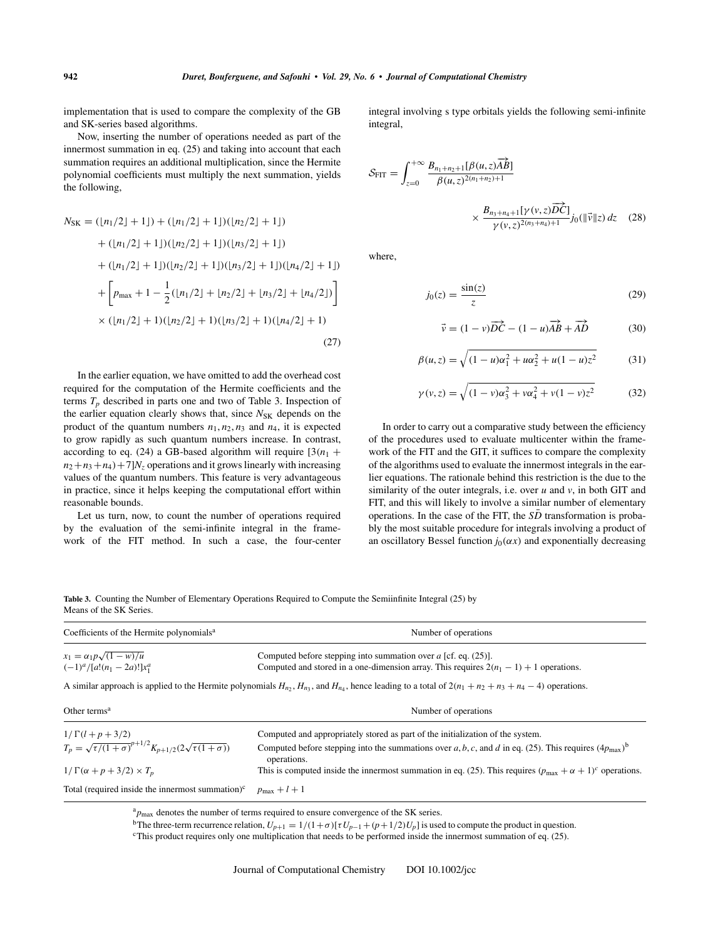implementation that is used to compare the complexity of the GB and SK-series based algorithms.

Now, inserting the number of operations needed as part of the innermost summation in eq. (25) and taking into account that each summation requires an additional multiplication, since the Hermite polynomial coefficients must multiply the next summation, yields the following,

$$
N_{SK} = (\lfloor n_1/2 \rfloor + 1 \rfloor) + (\lfloor n_1/2 \rfloor + 1 \rfloor)(\lfloor n_2/2 \rfloor + 1 \rfloor)
$$
  
+  $(\lfloor n_1/2 \rfloor + 1 \rfloor)(\lfloor n_2/2 \rfloor + 1 \rfloor)(\lfloor n_3/2 \rfloor + 1 \rfloor)$   
+  $(\lfloor n_1/2 \rfloor + 1 \rfloor)(\lfloor n_2/2 \rfloor + 1 \rfloor)(\lfloor n_3/2 \rfloor + 1 \rfloor)(\lfloor n_4/2 \rfloor + 1 \rfloor)$   
+  $\left[ p_{\text{max}} + 1 - \frac{1}{2} (\lfloor n_1/2 \rfloor + \lfloor n_2/2 \rfloor + \lfloor n_3/2 \rfloor + \lfloor n_4/2 \rfloor) \right]$   
×  $(\lfloor n_1/2 \rfloor + 1)(\lfloor n_2/2 \rfloor + 1)(\lfloor n_3/2 \rfloor + 1)(\lfloor n_4/2 \rfloor + 1)$  (27)

In the earlier equation, we have omitted to add the overhead cost required for the computation of the Hermite coefficients and the terms  $T_p$  described in parts one and two of Table 3. Inspection of the earlier equation clearly shows that, since  $N_{SK}$  depends on the product of the quantum numbers  $n_1$ ,  $n_2$ ,  $n_3$  and  $n_4$ , it is expected to grow rapidly as such quantum numbers increase. In contrast, according to eq. (24) a GB-based algorithm will require  $[3(n<sub>1</sub> +$  $n_2+n_3+n_4$  + 7] $N_z$  operations and it grows linearly with increasing values of the quantum numbers. This feature is very advantageous in practice, since it helps keeping the computational effort within reasonable bounds.

Let us turn, now, to count the number of operations required by the evaluation of the semi-infinite integral in the framework of the FIT method. In such a case, the four-center integral involving s type orbitals yields the following semi-infinite integral,

$$
S_{\text{FIT}} = \int_{z=0}^{+\infty} \frac{B_{n_1+n_2+1}[\beta(u,z)\overrightarrow{AB}]}{\beta(u,z)^{2(n_1+n_2)+1}} \times \frac{B_{n_3+n_4+1}[\gamma(v,z)\overrightarrow{DC}]}{\gamma(v,z)^{2(n_3+n_4)+1}} j_0(\|\vec{v}\|z) dz \quad (28)
$$

where,

$$
j_0(z) = \frac{\sin(z)}{z} \tag{29}
$$

$$
\vec{v} = (1 - v)\overrightarrow{DC} - (1 - u)\overrightarrow{AB} + \overrightarrow{AD}
$$
 (30)

$$
\beta(u, z) = \sqrt{(1 - u)\alpha_1^2 + u\alpha_2^2 + u(1 - u)z^2}
$$
 (31)

$$
\gamma(v, z) = \sqrt{(1 - v)\alpha_3^2 + v\alpha_4^2 + v(1 - v)z^2}
$$
 (32)

In order to carry out a comparative study between the efficiency of the procedures used to evaluate multicenter within the framework of the FIT and the GIT, it suffices to compare the complexity of the algorithms used to evaluate the innermost integrals in the earlier equations. The rationale behind this restriction is the due to the similarity of the outer integrals, i.e. over *u* and *v*, in both GIT and FIT, and this will likely to involve a similar number of elementary operations. In the case of the FIT, the  $S\overline{D}$  transformation is probably the most suitable procedure for integrals involving a product of an oscillatory Bessel function  $j_0(\alpha x)$  and exponentially decreasing

**Table 3.** Counting the Number of Elementary Operations Required to Compute the Semiinfinite Integral (25) by Means of the SK Series.

| Coefficients of the Hermite polynomials <sup>a</sup>                     | Number of operations                                                                                                                                                    |  |
|--------------------------------------------------------------------------|-------------------------------------------------------------------------------------------------------------------------------------------------------------------------|--|
| $x_1 = \alpha_1 p \sqrt{(1 - w)/u}$                                      | Computed before stepping into summation over $a$ [cf. eq. (25)].                                                                                                        |  |
| $(-1)^{a}/[a!(n_1-2a)!]x_1^a$                                            | Computed and stored in a one-dimension array. This requires $2(n_1 - 1) + 1$ operations.                                                                                |  |
|                                                                          | A similar approach is applied to the Hermite polynomials $H_{n_2}$ , $H_{n_3}$ , and $H_{n_4}$ , hence leading to a total of $2(n_1 + n_2 + n_3 + n_4 - 4)$ operations. |  |
| Other terms <sup><math>a</math></sup>                                    | Number of operations                                                                                                                                                    |  |
| $1/\Gamma(l+p+3/2)$                                                      | Computed and appropriately stored as part of the initialization of the system.                                                                                          |  |
| $T_p = \sqrt{\tau/(1+\sigma)}^{p+1/2} K_{p+1/2}(2\sqrt{\tau(1+\sigma)})$ | Computed before stepping into the summations over a, b, c, and d in eq. (25). This requires $(4p_{\text{max}})^b$<br>operations.                                        |  |
| $1/\Gamma(\alpha+p+3/2)\times T_p$                                       | This is computed inside the innermost summation in eq. (25). This requires $(p_{\text{max}} + \alpha + 1)^c$ operations.                                                |  |
| Total (required inside the innermost summation) $\mathbf{c}$             | $p_{\text{max}}+l+1$                                                                                                                                                    |  |

<sup>a</sup>*p*max denotes the number of terms required to ensure convergence of the SK series.

<sup>b</sup>The three-term recurrence relation,  $U_{p+1} = 1/(1+\sigma)[\tau U_{p-1} + (p+1/2)U_p]$  is used to compute the product in question.<br><sup>c</sup>This product requires only one multiplication that needs to be performed inside the innermost summa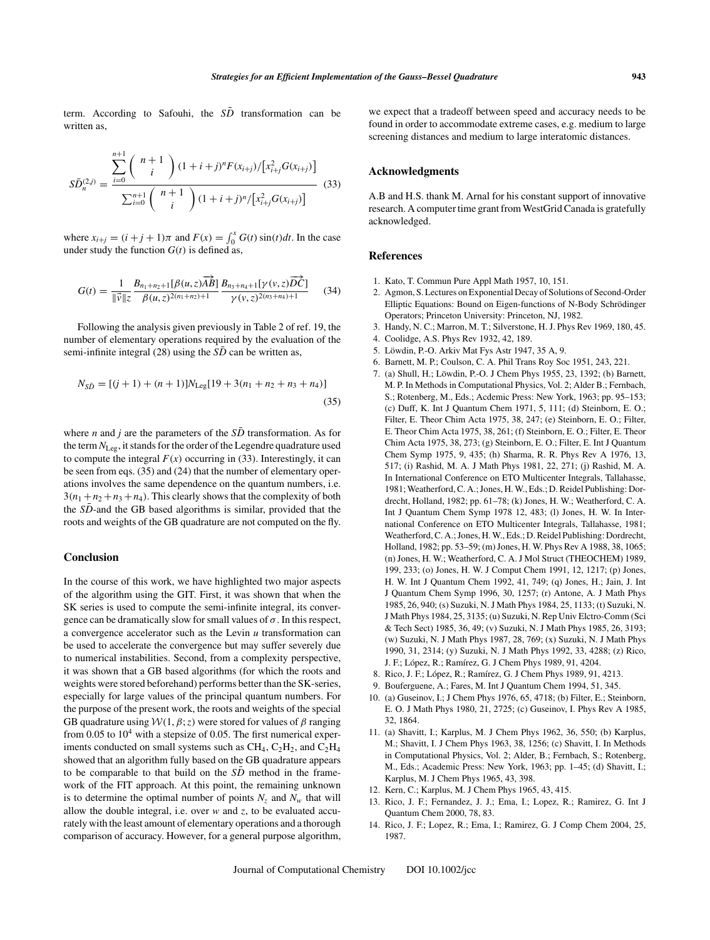term. According to Safouhi, the  $S\overline{D}$  transformation can be written as,

$$
S\bar{D}_n^{(2,j)} = \frac{\sum_{i=0}^{n+1} {n+1 \choose i} (1+i+j)^n F(x_{i+j})/[x_{i+j}^2 G(x_{i+j})]}{\sum_{i=0}^{n+1} {n+1 \choose i} (1+i+j)^n/[x_{i+j}^2 G(x_{i+j})]}
$$
(33)

where  $x_{i+j} = (i+j+1)\pi$  and  $F(x) = \int_0^x G(t) \sin(t) dt$ . In the case under study the function  $G(t)$  is defined as,

$$
G(t) = \frac{1}{\|\vec{v}\|z} \frac{B_{n_1+n_2+1}[\beta(u,z)\overrightarrow{AB}]}{\beta(u,z)^{2(n_1+n_2)+1}} \frac{B_{n_3+n_4+1}[\gamma(v,z)\overrightarrow{DC}]}{\gamma(v,z)^{2(n_3+n_4)+1}} \qquad (34)
$$

Following the analysis given previously in Table 2 of ref. 19, the number of elementary operations required by the evaluation of the semi-infinite integral (28) using the *SD* can be written as,

$$
N_{S\bar{D}} = [(j+1) + (n+1)]N_{\text{Leg}}[19 + 3(n_1 + n_2 + n_3 + n_4)]
$$
\n(35)

where *n* and *j* are the parameters of the  $S\overline{D}$  transformation. As for the term *N*Leg, it stands for the order of the Legendre quadrature used to compute the integral  $F(x)$  occurring in (33). Interestingly, it can be seen from eqs. (35) and (24) that the number of elementary operations involves the same dependence on the quantum numbers, i.e.  $3(n_1+n_2+n_3+n_4)$ . This clearly shows that the complexity of both the *SD*-and the GB based algorithms is similar, provided that the roots and weights of the GB quadrature are not computed on the fly.

### **Conclusion**

In the course of this work, we have highlighted two major aspects of the algorithm using the GIT. First, it was shown that when the SK series is used to compute the semi-infinite integral, its convergence can be dramatically slow for small values of  $\sigma$ . In this respect, a convergence accelerator such as the Levin *u* transformation can be used to accelerate the convergence but may suffer severely due to numerical instabilities. Second, from a complexity perspective, it was shown that a GB based algorithms (for which the roots and weights were stored beforehand) performs better than the SK-series, especially for large values of the principal quantum numbers. For the purpose of the present work, the roots and weights of the special GB quadrature using  $W(1, \beta; z)$  were stored for values of  $\beta$  ranging from 0.05 to  $10^4$  with a stepsize of 0.05. The first numerical experiments conducted on small systems such as  $CH_4$ ,  $C_2H_2$ , and  $C_2H_4$ showed that an algorithm fully based on the GB quadrature appears to be comparable to that build on the *SD* method in the framework of the FIT approach. At this point, the remaining unknown is to determine the optimal number of points  $N_z$  and  $N_w$  that will allow the double integral, i.e. over *w* and *z*, to be evaluated accurately with the least amount of elementary operations and a thorough comparison of accuracy. However, for a general purpose algorithm,

we expect that a tradeoff between speed and accuracy needs to be found in order to accommodate extreme cases, e.g. medium to large screening distances and medium to large interatomic distances.

#### **Acknowledgments**

A.B and H.S. thank M. Arnal for his constant support of innovative research. A computer time grant from WestGrid Canada is gratefully acknowledged.

#### **References**

- 1. Kato, T. Commun Pure Appl Math 1957, 10, 151.
- 2. Agmon, S. Lectures on Exponential Decay of Solutions of Second-Order Elliptic Equations: Bound on Eigen-functions of N-Body Schrödinger Operators; Princeton University: Princeton, NJ, 1982.
- 3. Handy, N. C.; Marron, M. T.; Silverstone, H. J. Phys Rev 1969, 180, 45.
- 4. Coolidge, A.S. Phys Rev 1932, 42, 189.
- 5. Löwdin, P.-O. Arkiv Mat Fys Astr 1947, 35 A, 9.
- 6. Barnett, M. P.; Coulson, C. A. Phil Trans Roy Soc 1951, 243, 221.
- 7. (a) Shull, H.; Löwdin, P.-O. J Chem Phys 1955, 23, 1392; (b) Barnett, M. P. In Methods in Computational Physics, Vol. 2; Alder B.; Fernbach, S.; Rotenberg, M., Eds.; Acdemic Press: New York, 1963; pp. 95–153; (c) Duff, K. Int J Quantum Chem 1971, 5, 111; (d) Steinborn, E. O.; Filter, E. Theor Chim Acta 1975, 38, 247; (e) Steinborn, E. O.; Filter, E. Theor Chim Acta 1975, 38, 261; (f) Steinborn, E. O.; Filter, E. Theor Chim Acta 1975, 38, 273; (g) Steinborn, E. O.; Filter, E. Int J Quantum Chem Symp 1975, 9, 435; (h) Sharma, R. R. Phys Rev A 1976, 13, 517; (i) Rashid, M. A. J Math Phys 1981, 22, 271; (j) Rashid, M. A. In International Conference on ETO Multicenter Integrals, Tallahasse, 1981; Weatherford, C. A.; Jones, H. W., Eds.; D. Reidel Publishing: Dordrecht, Holland, 1982; pp. 61–78; (k) Jones, H. W.; Weatherford, C. A. Int J Quantum Chem Symp 1978 12, 483; (l) Jones, H. W. In International Conference on ETO Multicenter Integrals, Tallahasse, 1981; Weatherford, C. A.; Jones, H. W., Eds.; D. Reidel Publishing: Dordrecht, Holland, 1982; pp. 53–59; (m) Jones, H. W. Phys Rev A 1988, 38, 1065; (n) Jones, H. W.; Weatherford, C. A. J Mol Struct (THEOCHEM) 1989, 199, 233; (o) Jones, H. W. J Comput Chem 1991, 12, 1217; (p) Jones, H. W. Int J Quantum Chem 1992, 41, 749; (q) Jones, H.; Jain, J. Int J Quantum Chem Symp 1996, 30, 1257; (r) Antone, A. J Math Phys 1985, 26, 940; (s) Suzuki, N. J Math Phys 1984, 25, 1133; (t) Suzuki, N. J Math Phys 1984, 25, 3135; (u) Suzuki, N. Rep Univ Elctro-Comm (Sci & Tech Sect) 1985, 36, 49; (v) Suzuki, N. J Math Phys 1985, 26, 3193; (w) Suzuki, N. J Math Phys 1987, 28, 769; (x) Suzuki, N. J Math Phys 1990, 31, 2314; (y) Suzuki, N. J Math Phys 1992, 33, 4288; (z) Rico, J. F.; López, R.; Ramírez, G. J Chem Phys 1989, 91, 4204.
- 8. Rico, J. F.; López, R.; Ramírez, G. J Chem Phys 1989, 91, 4213.
- 9. Bouferguene, A.; Fares, M. Int J Quantum Chem 1994, 51, 345.
- 10. (a) Guseinov, I.; J Chem Phys 1976, 65, 4718; (b) Filter, E.; Steinborn, E. O. J Math Phys 1980, 21, 2725; (c) Guseinov, I. Phys Rev A 1985, 32, 1864.
- 11. (a) Shavitt, I.; Karplus, M. J Chem Phys 1962, 36, 550; (b) Karplus, M.; Shavitt, I. J Chem Phys 1963, 38, 1256; (c) Shavitt, I. In Methods in Computational Physics, Vol. 2; Alder, B.; Fernbach, S.; Rotenberg, M., Eds.; Academic Press: New York, 1963; pp. 1–45; (d) Shavitt, I.; Karplus, M. J Chem Phys 1965, 43, 398.
- 12. Kern, C.; Karplus, M. J Chem Phys 1965, 43, 415.
- 13. Rico, J. F.; Fernandez, J. J.; Ema, I.; Lopez, R.; Ramirez, G. Int J Quantum Chem 2000, 78, 83.
- 14. Rico, J. F.; Lopez, R.; Ema, I.; Ramirez, G. J Comp Chem 2004, 25, 1987.